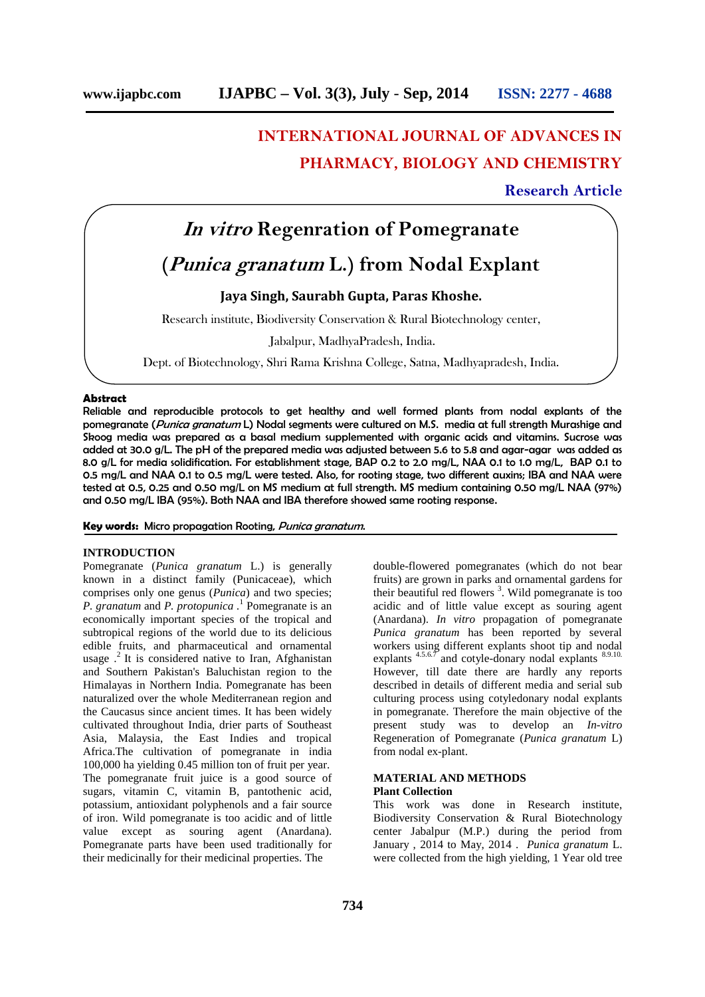# **INTERNATIONAL JOURNAL OF ADVANCES IN PHARMACY, BIOLOGY AND CHEMISTRY**

### **Research Article**

# *In vitro* **Regenration of Pomegranate**

## **(***Punica granatum* **L.) from Nodal Explant**

### **Jaya Singh, Saurabh Gupta, Paras Khoshe.**

Research institute, Biodiversity Conservation & Rural Biotechnology center,

Jabalpur, MadhyaPradesh, India.

Dept. of Biotechnology, Shri Rama Krishna College, Satna, Madhyapradesh, India.

#### **Abstract**

Reliable and reproducible protocols to get healthy and well formed plants from nodal explants of the pomegranate (*Punica granatum* L) Nodal segments were cultured on M.S. media at full strength Murashige and Skoog media was prepared as a basal medium supplemented with organic acids and vitamins. Sucrose was added at 30.0 g/L. The pH of the prepared media was adjusted between 5.6 to 5.8 and agar-agar was added as 8.0 g/L for media solidification. For establishment stage, BAP 0.2 to 2.0 mg/L, NAA 0.1 to 1.0 mg/L, BAP 0.1 to 0.5 mg/L and NAA 0.1 to 0.5 mg/L were tested. Also, for rooting stage, two different auxins; IBA and NAA were tested at 0.5, 0.25 and 0.50 mg/L on MS medium at full strength. MS medium containing 0.50 mg/L NAA (97%) and 0.50 mg/L IBA (95%). Both NAA and IBA therefore showed same rooting response.

#### **Key words:** Micro propagation Rooting, *Punica granatum*.

#### **INTRODUCTION**

Pomegranate (*Punica granatum* L.) is generally known in a distinct family (Punicaceae), which comprises only one genus (*Punica*) and two species; *P. granatum* and *P. protopunica .*<sup>1</sup> Pomegranate is an economically important species of the tropical and subtropical regions of the world due to its delicious edible fruits, and pharmaceutical and ornamental usage  $\cdot^2$  It is considered native to Iran, Afghanistan and Southern Pakistan's Baluchistan region to the Himalayas in Northern India. Pomegranate has been naturalized over the whole Mediterranean region and the Caucasus since ancient times. It has been widely cultivated throughout India, drier parts of Southeast Asia, Malaysia, the East Indies and tropical Africa.The cultivation of pomegranate in india 100,000 ha yielding 0.45 million ton of fruit per year. The pomegranate fruit juice is a good source of sugars, vitamin C, vitamin B, pantothenic acid, potassium, antioxidant polyphenols and a fair source of iron. Wild pomegranate is too acidic and of little value except as souring agent (Anardana). Pomegranate parts have been used traditionally for their medicinally for their medicinal properties. The

double-flowered pomegranates (which do not bear fruits) are grown in parks and ornamental gardens for their beautiful red flowers  $3$ . Wild pomegranate is too acidic and of little value except as souring agent (Anardana). *In vitro* propagation of pomegranate *Punica granatum* has been reported by several workers using different explants shoot tip and nodal explants  $4.5.6.\overline{7}$  and cotyle-donary nodal explants  $8.9.10$ . However, till date there are hardly any reports described in details of different media and serial sub culturing process using cotyledonary nodal explants in pomegranate. Therefore the main objective of the present study was to develop an *In-vitro* Regeneration of Pomegranate (*Punica granatum* L) from nodal ex-plant.

#### **MATERIAL AND METHODS Plant Collection**

This work was done in Research institute, Biodiversity Conservation & Rural Biotechnology center Jabalpur (M.P.) during the period from January , 2014 to May, 2014 . *Punica granatum* L. were collected from the high yielding, 1 Year old tree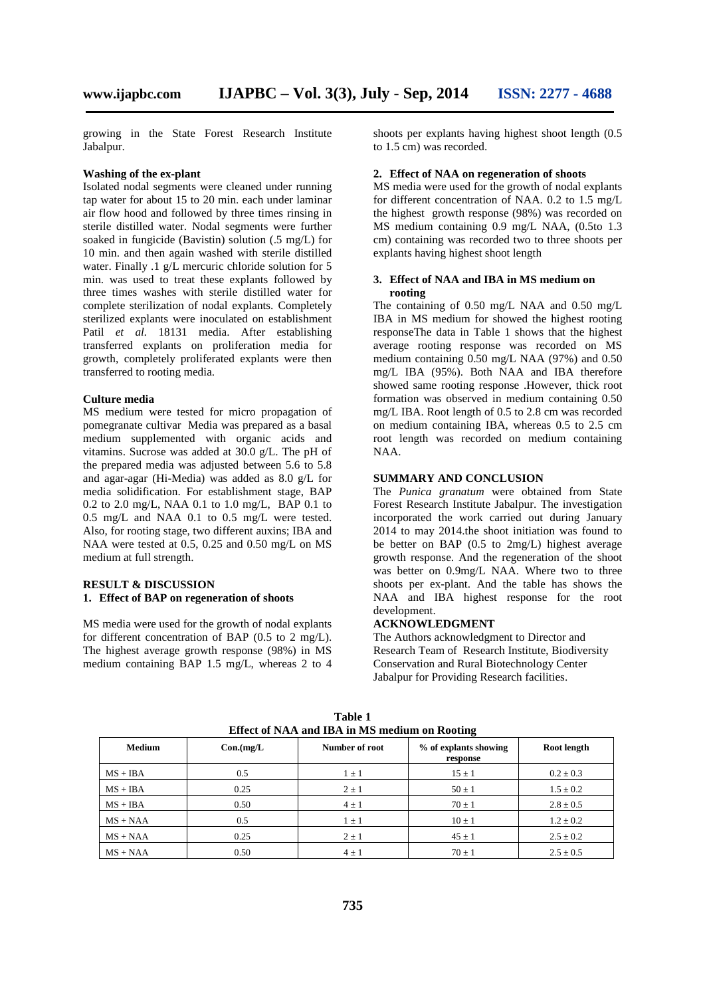growing in the State Forest Research Institute Jabalpur.

#### **Washing of the ex-plant**

Isolated nodal segments were cleaned under running tap water for about 15 to 20 min. each under laminar air flow hood and followed by three times rinsing in sterile distilled water. Nodal segments were further soaked in fungicide (Bavistin) solution (.5 mg/L) for 10 min. and then again washed with sterile distilled water. Finally .1 g/L mercuric chloride solution for 5 min. was used to treat these explants followed by three times washes with sterile distilled water for complete sterilization of nodal explants. Completely sterilized explants were inoculated on establishment Patil *et al.* 18131 media. After establishing transferred explants on proliferation media for growth, completely proliferated explants were then transferred to rooting media.

#### **Culture media**

MS medium were tested for micro propagation of pomegranate cultivar Media was prepared as a basal medium supplemented with organic acids and vitamins. Sucrose was added at 30.0 g/L. The pH of the prepared media was adjusted between 5.6 to 5.8 and agar-agar (Hi-Media) was added as 8.0 g/L for media solidification. For establishment stage, BAP 0.2 to 2.0 mg/L, NAA 0.1 to 1.0 mg/L, BAP 0.1 to 0.5 mg/L and NAA 0.1 to 0.5 mg/L were tested. Also, for rooting stage, two different auxins; IBA and NAA were tested at 0.5, 0.25 and 0.50 mg/L on MS medium at full strength.

#### **RESULT & DISCUSSION 1. Effect of BAP on regeneration of shoots**

MS media were used for the growth of nodal explants for different concentration of BAP (0.5 to 2 mg/L). The highest average growth response (98%) in MS medium containing BAP 1.5 mg/L, whereas 2 to 4 shoots per explants having highest shoot length (0.5 to 1.5 cm) was recorded.

#### **2. Effect of NAA on regeneration of shoots**

MS media were used for the growth of nodal explants for different concentration of NAA. 0.2 to 1.5 mg/L the highest growth response (98%) was recorded on MS medium containing 0.9 mg/L NAA, (0.5to 1.3 cm) containing was recorded two to three shoots per explants having highest shoot length

#### **3. Effect of NAA and IBA in MS medium on rooting**

The containing of 0.50 mg/L NAA and 0.50 mg/L IBA in MS medium for showed the highest rooting responseThe data in Table 1 shows that the highest average rooting response was recorded on MS medium containing 0.50 mg/L NAA (97%) and 0.50 mg/L IBA (95%). Both NAA and IBA therefore showed same rooting response .However, thick root formation was observed in medium containing 0.50 mg/L IBA. Root length of 0.5 to 2.8 cm was recorded on medium containing IBA, whereas 0.5 to 2.5 cm root length was recorded on medium containing NAA.

#### **SUMMARY AND CONCLUSION**

The *Punica granatum* were obtained from State Forest Research Institute Jabalpur. The investigation incorporated the work carried out during January 2014 to may 2014.the shoot initiation was found to be better on BAP (0.5 to 2mg/L) highest average growth response. And the regeneration of the shoot was better on 0.9mg/L NAA. Where two to three shoots per ex-plant. And the table has shows the NAA and IBA highest response for the root development.

#### **ACKNOWLEDGMENT**

The Authors acknowledgment to Director and Research Team of Research Institute, Biodiversity Conservation and Rural Biotechnology Center Jabalpur for Providing Research facilities.

| Medium     | Con.(mg/L) | Number of root | % of explants showing<br>response | Root length   |
|------------|------------|----------------|-----------------------------------|---------------|
| $MS + IBA$ | 0.5        | $1 \pm 1$      | $15 \pm 1$                        | $0.2 \pm 0.3$ |
| $MS + IBA$ | 0.25       | $2 \pm 1$      | $50 \pm 1$                        | $1.5 \pm 0.2$ |
| $MS + IBA$ | 0.50       | $4 \pm 1$      | $70 \pm 1$                        | $2.8 \pm 0.5$ |
| $MS + NAA$ | 0.5        | $1 \pm 1$      | $10 \pm 1$                        | $1.2 \pm 0.2$ |
| $MS + NAA$ | 0.25       | $2 \pm 1$      | $45 \pm 1$                        | $2.5 \pm 0.2$ |
| $MS + NAA$ | 0.50       | $4 \pm 1$      | $70 \pm 1$                        | $2.5 \pm 0.5$ |

**Table 1 Effect of NAA and IBA in MS medium on Rooting**